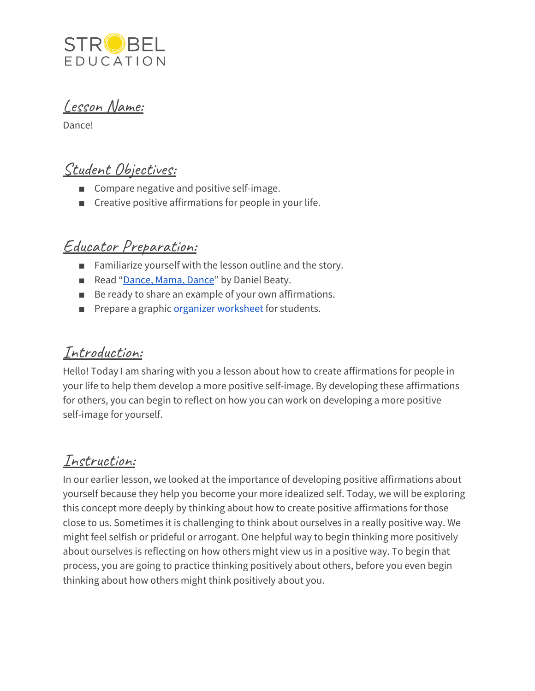

Lesson Name:

Dance!

# Student Objectives:

- Compare negative and positive self-image.
- Creative positive affirmations for people in your life.

# Educator Preparation:

- Familiarize yourself with the lesson outline and the story.
- Read "[Dance,](https://www.commonlit.org/en/texts/dance-mama-dance) Mama, Dance" by Daniel Beaty.
- Be ready to share an example of your own affirmations.
- Prepare a graphic organizer [worksheet](https://docs.google.com/document/d/1pIORaf1yCicxn-VLIbHxaBibldBqQcio3wtqARohniQ/edit?usp=sharing) for students.

### Introduction:

Hello! Today I am sharing with you a lesson about how to create affirmations for people in your life to help them develop a more positive self-image. By developing these affirmations for others, you can begin to reflect on how you can work on developing a more positive self-image for yourself.

### Instruction:

In our earlier lesson, we looked at the importance of developing positive affirmations about yourself because they help you become your more idealized self. Today, we will be exploring this concept more deeply by thinking about how to create positive affirmations for those close to us. Sometimes it is challenging to think about ourselves in a really positive way. We might feel selfish or prideful or arrogant. One helpful way to begin thinking more positively about ourselves is reflecting on how others might view us in a positive way. To begin that process, you are going to practice thinking positively about others, before you even begin thinking about how others might think positively about you.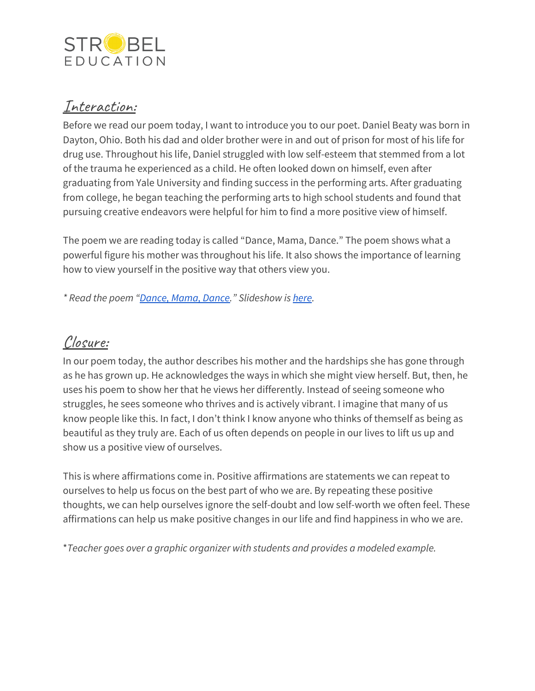

#### Interaction:

Before we read our poem today, I want to introduce you to our poet. Daniel Beaty was born in Dayton, Ohio. Both his dad and older brother were in and out of prison for most of his life for drug use. Throughout his life, Daniel struggled with low self-esteem that stemmed from a lot of the trauma he experienced as a child. He often looked down on himself, even after graduating from Yale University and finding success in the performing arts. After graduating from college, he began teaching the performing arts to high school students and found that pursuing creative endeavors were helpful for him to find a more positive view of himself.

The poem we are reading today is called "Dance, Mama, Dance." The poem shows what a powerful figure his mother was throughout his life. It also shows the importance of learning how to view yourself in the positive way that others view you.

*\* Read the poem ["Dance,](https://www.commonlit.org/en/texts/dance-mama-dance) Mama, Dance." Slideshow is [here](https://docs.google.com/presentation/d/1_0iM3TQDxxebLyTNHuBjZLVSwq0McOEz657hpK_Iqtg/edit?usp=sharing).*

### Closure:

In our poem today, the author describes his mother and the hardships she has gone through as he has grown up. He acknowledges the ways in which she might view herself. But, then, he uses his poem to show her that he views her differently. Instead of seeing someone who struggles, he sees someone who thrives and is actively vibrant. I imagine that many of us know people like this. In fact, I don't think I know anyone who thinks of themself as being as beautiful as they truly are. Each of us often depends on people in our lives to lift us up and show us a positive view of ourselves.

This is where affirmations come in. Positive affirmations are statements we can repeat to ourselves to help us focus on the best part of who we are. By repeating these positive thoughts, we can help ourselves ignore the self-doubt and low self-worth we often feel. These affirmations can help us make positive changes in our life and find happiness in who we are.

\**Teacher goes over a graphic organizer with students and provides a modeled example.*